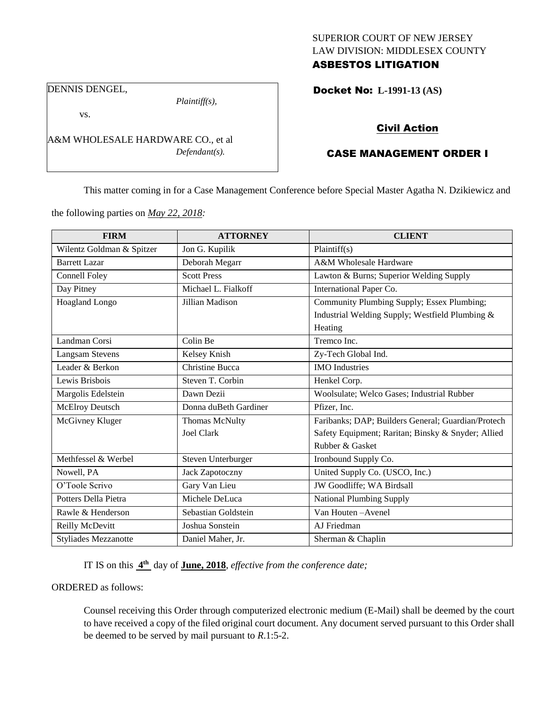# SUPERIOR COURT OF NEW JERSEY LAW DIVISION: MIDDLESEX COUNTY ASBESTOS LITIGATION

Docket No: **L-1991-13 (AS)** 

DENNIS DENGEL,

vs.

*Plaintiff(s),*

*Defendant(s).*

Civil Action

# CASE MANAGEMENT ORDER I

This matter coming in for a Case Management Conference before Special Master Agatha N. Dzikiewicz and

the following parties on *May 22, 2018:*

A&M WHOLESALE HARDWARE CO., et al

| <b>FIRM</b>                 | <b>ATTORNEY</b>        | <b>CLIENT</b>                                      |
|-----------------------------|------------------------|----------------------------------------------------|
| Wilentz Goldman & Spitzer   | Jon G. Kupilik         | Plaintiff(s)                                       |
| <b>Barrett Lazar</b>        | Deborah Megarr         | A&M Wholesale Hardware                             |
| Connell Foley               | <b>Scott Press</b>     | Lawton & Burns; Superior Welding Supply            |
| Day Pitney                  | Michael L. Fialkoff    | International Paper Co.                            |
| <b>Hoagland Longo</b>       | Jillian Madison        | Community Plumbing Supply; Essex Plumbing;         |
|                             |                        | Industrial Welding Supply; Westfield Plumbing &    |
|                             |                        | Heating                                            |
| Landman Corsi               | Colin Be               | Tremco Inc.                                        |
| <b>Langsam Stevens</b>      | Kelsey Knish           | Zy-Tech Global Ind.                                |
| Leader & Berkon             | <b>Christine Bucca</b> | <b>IMO</b> Industries                              |
| Lewis Brisbois              | Steven T. Corbin       | Henkel Corp.                                       |
| Margolis Edelstein          | Dawn Dezii             | Woolsulate; Welco Gases; Industrial Rubber         |
| <b>McElroy Deutsch</b>      | Donna duBeth Gardiner  | Pfizer, Inc.                                       |
| McGivney Kluger             | Thomas McNulty         | Faribanks; DAP; Builders General; Guardian/Protech |
|                             | <b>Joel Clark</b>      | Safety Equipment; Raritan; Binsky & Snyder; Allied |
|                             |                        | Rubber & Gasket                                    |
| Methfessel & Werbel         | Steven Unterburger     | Ironbound Supply Co.                               |
| Nowell, PA                  | Jack Zapotoczny        | United Supply Co. (USCO, Inc.)                     |
| O'Toole Scrivo              | Gary Van Lieu          | JW Goodliffe; WA Birdsall                          |
| Potters Della Pietra        | Michele DeLuca         | <b>National Plumbing Supply</b>                    |
| Rawle & Henderson           | Sebastian Goldstein    | Van Houten-Avenel                                  |
| Reilly McDevitt             | Joshua Sonstein        | AJ Friedman                                        |
| <b>Styliades Mezzanotte</b> | Daniel Maher, Jr.      | Sherman & Chaplin                                  |

IT IS on this  $4^{\text{th}}$  day of **June, 2018**, *effective from the conference date*;

ORDERED as follows:

Counsel receiving this Order through computerized electronic medium (E-Mail) shall be deemed by the court to have received a copy of the filed original court document. Any document served pursuant to this Order shall be deemed to be served by mail pursuant to *R*.1:5-2.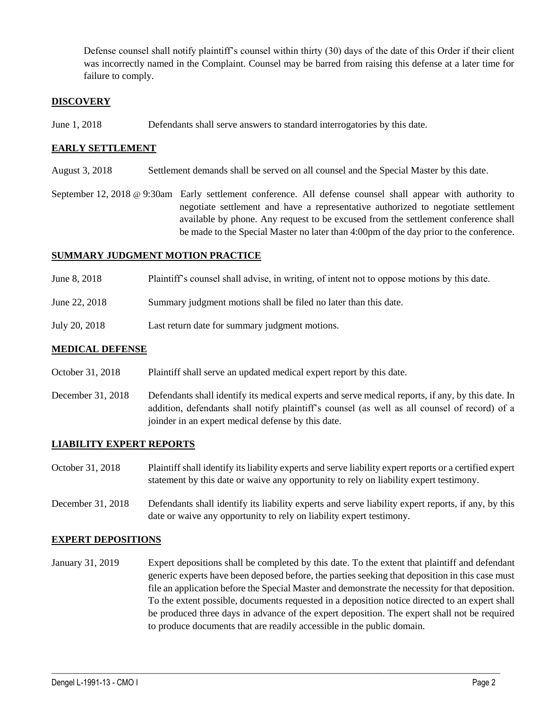Defense counsel shall notify plaintiff's counsel within thirty (30) days of the date of this Order if their client was incorrectly named in the Complaint. Counsel may be barred from raising this defense at a later time for failure to comply.

## **DISCOVERY**

June 1, 2018 Defendants shall serve answers to standard interrogatories by this date.

## **EARLY SETTLEMENT**

- August 3, 2018 Settlement demands shall be served on all counsel and the Special Master by this date.
- September 12, 2018 @ 9:30am Early settlement conference. All defense counsel shall appear with authority to negotiate settlement and have a representative authorized to negotiate settlement available by phone. Any request to be excused from the settlement conference shall be made to the Special Master no later than 4:00pm of the day prior to the conference.

## **SUMMARY JUDGMENT MOTION PRACTICE**

- June 8, 2018 Plaintiff's counsel shall advise, in writing, of intent not to oppose motions by this date.
- June 22, 2018 Summary judgment motions shall be filed no later than this date.
- July 20, 2018 Last return date for summary judgment motions.

#### **MEDICAL DEFENSE**

- October 31, 2018 Plaintiff shall serve an updated medical expert report by this date.
- December 31, 2018 Defendants shall identify its medical experts and serve medical reports, if any, by this date. In addition, defendants shall notify plaintiff's counsel (as well as all counsel of record) of a joinder in an expert medical defense by this date.

#### **LIABILITY EXPERT REPORTS**

- October 31, 2018 Plaintiff shall identify its liability experts and serve liability expert reports or a certified expert statement by this date or waive any opportunity to rely on liability expert testimony.
- December 31, 2018 Defendants shall identify its liability experts and serve liability expert reports, if any, by this date or waive any opportunity to rely on liability expert testimony.

#### **EXPERT DEPOSITIONS**

January 31, 2019 Expert depositions shall be completed by this date. To the extent that plaintiff and defendant generic experts have been deposed before, the parties seeking that deposition in this case must file an application before the Special Master and demonstrate the necessity for that deposition. To the extent possible, documents requested in a deposition notice directed to an expert shall be produced three days in advance of the expert deposition. The expert shall not be required to produce documents that are readily accessible in the public domain.

 $\_$  ,  $\_$  ,  $\_$  ,  $\_$  ,  $\_$  ,  $\_$  ,  $\_$  ,  $\_$  ,  $\_$  ,  $\_$  ,  $\_$  ,  $\_$  ,  $\_$  ,  $\_$  ,  $\_$  ,  $\_$  ,  $\_$  ,  $\_$  ,  $\_$  ,  $\_$  ,  $\_$  ,  $\_$  ,  $\_$  ,  $\_$  ,  $\_$  ,  $\_$  ,  $\_$  ,  $\_$  ,  $\_$  ,  $\_$  ,  $\_$  ,  $\_$  ,  $\_$  ,  $\_$  ,  $\_$  ,  $\_$  ,  $\_$  ,